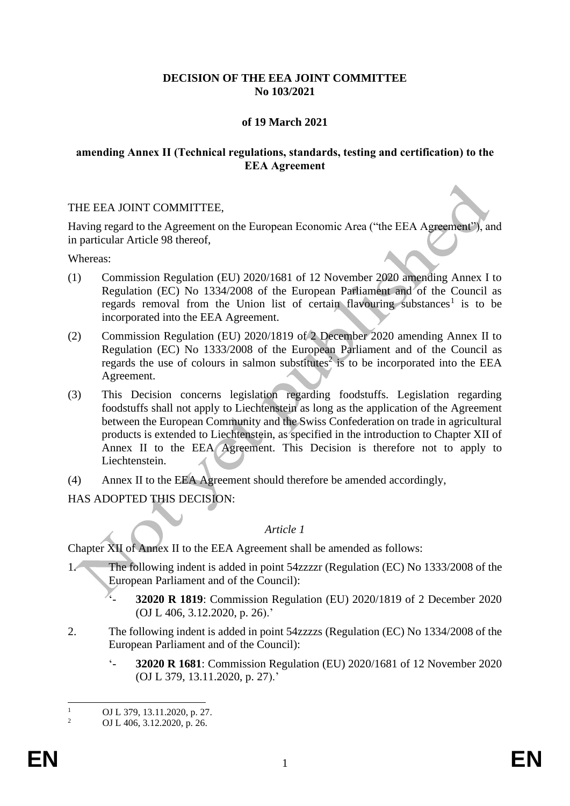# **DECISION OF THE EEA JOINT COMMITTEE No 103/2021**

# **of 19 March 2021**

### **amending Annex II (Technical regulations, standards, testing and certification) to the EEA Agreement**

#### THE EEA JOINT COMMITTEE,

Having regard to the Agreement on the European Economic Area ("the EEA Agreement"), and in particular Article 98 thereof,

Whereas:

- (1) Commission Regulation (EU) 2020/1681 of 12 November 2020 amending Annex I to Regulation (EC) No 1334/2008 of the European Parliament and of the Council as regards removal from the Union list of certain flavouring substances<sup>1</sup> is to be incorporated into the EEA Agreement.
- (2) Commission Regulation (EU) 2020/1819 of 2 December 2020 amending Annex II to Regulation (EC) No 1333/2008 of the European Parliament and of the Council as regards the use of colours in salmon substitutes<sup>2</sup> is to be incorporated into the EEA Agreement.
- (3) This Decision concerns legislation regarding foodstuffs. Legislation regarding foodstuffs shall not apply to Liechtenstein as long as the application of the Agreement between the European Community and the Swiss Confederation on trade in agricultural products is extended to Liechtenstein, as specified in the introduction to Chapter XII of Annex II to the EEA Agreement. This Decision is therefore not to apply to Liechtenstein.
- (4) Annex II to the EEA Agreement should therefore be amended accordingly,

HAS ADOPTED THIS DECISION:

### *Article 1*

Chapter XII of Annex II to the EEA Agreement shall be amended as follows:

- 1. The following indent is added in point 54zzzzr (Regulation (EC) No 1333/2008 of the European Parliament and of the Council):
	- '- **32020 R 1819**: Commission Regulation (EU) 2020/1819 of 2 December 2020 (OJ L 406, 3.12.2020, p. 26).'
- 2. The following indent is added in point 54zzzzs (Regulation (EC) No 1334/2008 of the European Parliament and of the Council):
	- '- **32020 R 1681**: Commission Regulation (EU) 2020/1681 of 12 November 2020 (OJ L 379, 13.11.2020, p. 27).'

<sup>&</sup>lt;sup>1</sup> OJ L 379, 13.11.2020, p. 27.<br><sup>2</sup> OJ L 406, 3, 12, 2020, p. 26.

<sup>2</sup> OJ L 406, 3.12.2020, p. 26.